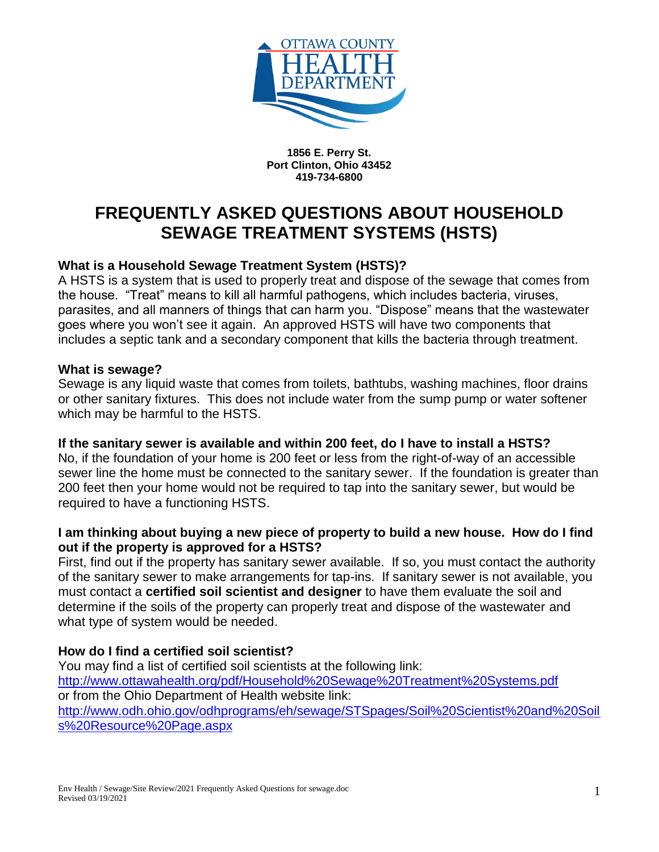

**1856 E. Perry St. Port Clinton, Ohio 43452 419-734-6800**

# **FREQUENTLY ASKED QUESTIONS ABOUT HOUSEHOLD SEWAGE TREATMENT SYSTEMS (HSTS)**

## **What is a Household Sewage Treatment System (HSTS)?**

A HSTS is a system that is used to properly treat and dispose of the sewage that comes from the house. "Treat" means to kill all harmful pathogens, which includes bacteria, viruses, parasites, and all manners of things that can harm you. "Dispose" means that the wastewater goes where you won't see it again. An approved HSTS will have two components that includes a septic tank and a secondary component that kills the bacteria through treatment.

## **What is sewage?**

Sewage is any liquid waste that comes from toilets, bathtubs, washing machines, floor drains or other sanitary fixtures. This does not include water from the sump pump or water softener which may be harmful to the HSTS.

#### **If the sanitary sewer is available and within 200 feet, do I have to install a HSTS?**

No, if the foundation of your home is 200 feet or less from the right-of-way of an accessible sewer line the home must be connected to the sanitary sewer. If the foundation is greater than 200 feet then your home would not be required to tap into the sanitary sewer, but would be required to have a functioning HSTS.

#### **I am thinking about buying a new piece of property to build a new house. How do I find out if the property is approved for a HSTS?**

First, find out if the property has sanitary sewer available. If so, you must contact the authority of the sanitary sewer to make arrangements for tap-ins. If sanitary sewer is not available, you must contact a **certified soil scientist and designer** to have them evaluate the soil and determine if the soils of the property can properly treat and dispose of the wastewater and what type of system would be needed.

## **How do I find a certified soil scientist?**

You may find a list of certified soil scientists at the following link: <http://www.ottawahealth.org/pdf/Household%20Sewage%20Treatment%20Systems.pdf> or from the Ohio Department of Health website link: [http://www.odh.ohio.gov/odhprograms/eh/sewage/STSpages/Soil%20Scientist%20and%20Soil](http://www.odh.ohio.gov/odhprograms/eh/sewage/STSpages/Soil%20Scientist%20and%20Soils%20Resource%20Page.aspx) [s%20Resource%20Page.aspx](http://www.odh.ohio.gov/odhprograms/eh/sewage/STSpages/Soil%20Scientist%20and%20Soils%20Resource%20Page.aspx)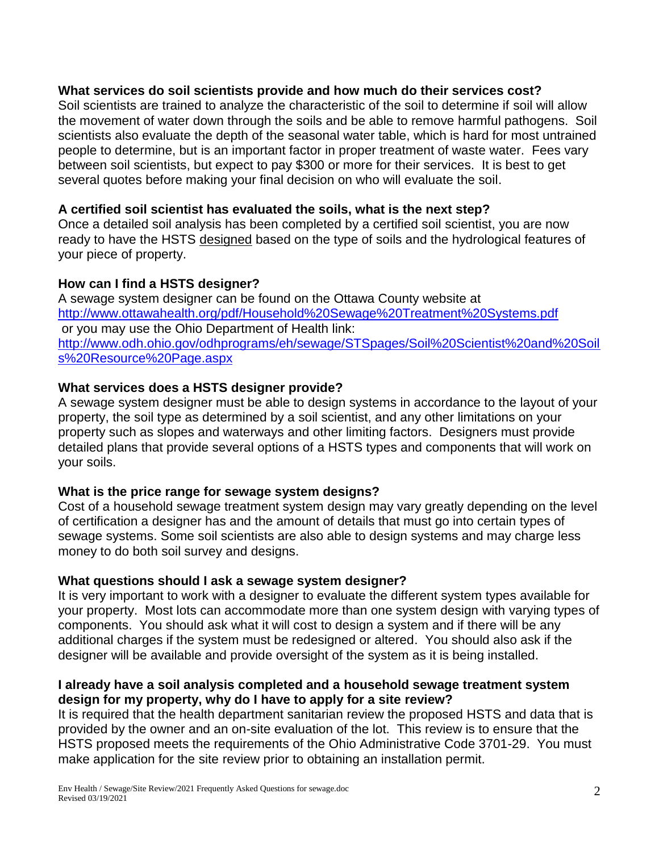## **What services do soil scientists provide and how much do their services cost?**

Soil scientists are trained to analyze the characteristic of the soil to determine if soil will allow the movement of water down through the soils and be able to remove harmful pathogens. Soil scientists also evaluate the depth of the seasonal water table, which is hard for most untrained people to determine, but is an important factor in proper treatment of waste water. Fees vary between soil scientists, but expect to pay \$300 or more for their services. It is best to get several quotes before making your final decision on who will evaluate the soil.

## **A certified soil scientist has evaluated the soils, what is the next step?**

Once a detailed soil analysis has been completed by a certified soil scientist, you are now ready to have the HSTS designed based on the type of soils and the hydrological features of your piece of property.

## **How can I find a HSTS designer?**

A sewage system designer can be found on the Ottawa County website at <http://www.ottawahealth.org/pdf/Household%20Sewage%20Treatment%20Systems.pdf> or you may use the Ohio Department of Health link: [http://www.odh.ohio.gov/odhprograms/eh/sewage/STSpages/Soil%20Scientist%20and%20Soil](http://www.odh.ohio.gov/odhprograms/eh/sewage/STSpages/Soil%20Scientist%20and%20Soils%20Resource%20Page.aspx) [s%20Resource%20Page.aspx](http://www.odh.ohio.gov/odhprograms/eh/sewage/STSpages/Soil%20Scientist%20and%20Soils%20Resource%20Page.aspx)

## **What services does a HSTS designer provide?**

A sewage system designer must be able to design systems in accordance to the layout of your property, the soil type as determined by a soil scientist, and any other limitations on your property such as slopes and waterways and other limiting factors. Designers must provide detailed plans that provide several options of a HSTS types and components that will work on your soils.

#### **What is the price range for sewage system designs?**

Cost of a household sewage treatment system design may vary greatly depending on the level of certification a designer has and the amount of details that must go into certain types of sewage systems. Some soil scientists are also able to design systems and may charge less money to do both soil survey and designs.

#### **What questions should I ask a sewage system designer?**

It is very important to work with a designer to evaluate the different system types available for your property. Most lots can accommodate more than one system design with varying types of components. You should ask what it will cost to design a system and if there will be any additional charges if the system must be redesigned or altered. You should also ask if the designer will be available and provide oversight of the system as it is being installed.

## **I already have a soil analysis completed and a household sewage treatment system design for my property, why do I have to apply for a site review?**

It is required that the health department sanitarian review the proposed HSTS and data that is provided by the owner and an on-site evaluation of the lot. This review is to ensure that the HSTS proposed meets the requirements of the Ohio Administrative Code 3701-29. You must make application for the site review prior to obtaining an installation permit.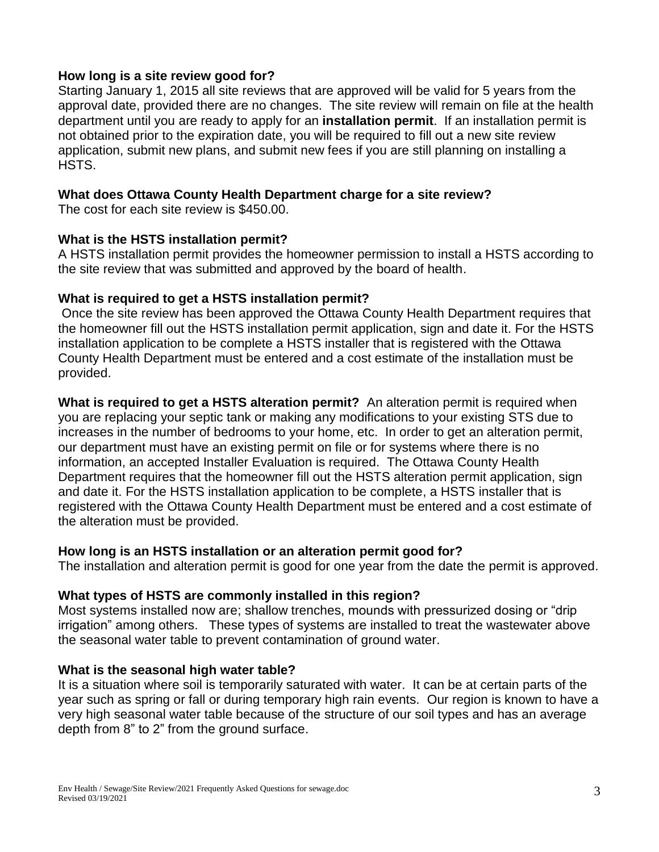#### **How long is a site review good for?**

Starting January 1, 2015 all site reviews that are approved will be valid for 5 years from the approval date, provided there are no changes. The site review will remain on file at the health department until you are ready to apply for an **installation permit**. If an installation permit is not obtained prior to the expiration date, you will be required to fill out a new site review application, submit new plans, and submit new fees if you are still planning on installing a HSTS.

## **What does Ottawa County Health Department charge for a site review?**

The cost for each site review is \$450.00.

#### **What is the HSTS installation permit?**

A HSTS installation permit provides the homeowner permission to install a HSTS according to the site review that was submitted and approved by the board of health.

## **What is required to get a HSTS installation permit?**

Once the site review has been approved the Ottawa County Health Department requires that the homeowner fill out the HSTS installation permit application, sign and date it. For the HSTS installation application to be complete a HSTS installer that is registered with the Ottawa County Health Department must be entered and a cost estimate of the installation must be provided.

**What is required to get a HSTS alteration permit?** An alteration permit is required when you are replacing your septic tank or making any modifications to your existing STS due to increases in the number of bedrooms to your home, etc. In order to get an alteration permit, our department must have an existing permit on file or for systems where there is no information, an accepted Installer Evaluation is required. The Ottawa County Health Department requires that the homeowner fill out the HSTS alteration permit application, sign and date it. For the HSTS installation application to be complete, a HSTS installer that is registered with the Ottawa County Health Department must be entered and a cost estimate of the alteration must be provided.

#### **How long is an HSTS installation or an alteration permit good for?**

The installation and alteration permit is good for one year from the date the permit is approved.

#### **What types of HSTS are commonly installed in this region?**

Most systems installed now are; shallow trenches, mounds with pressurized dosing or "drip irrigation" among others. These types of systems are installed to treat the wastewater above the seasonal water table to prevent contamination of ground water.

#### **What is the seasonal high water table?**

It is a situation where soil is temporarily saturated with water. It can be at certain parts of the year such as spring or fall or during temporary high rain events. Our region is known to have a very high seasonal water table because of the structure of our soil types and has an average depth from 8" to 2" from the ground surface.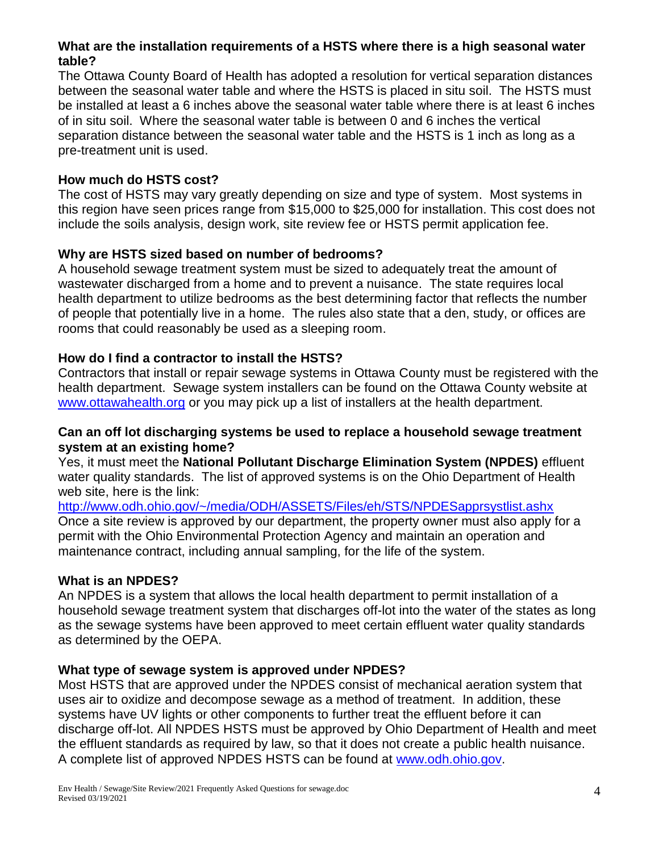## **What are the installation requirements of a HSTS where there is a high seasonal water table?**

The Ottawa County Board of Health has adopted a resolution for vertical separation distances between the seasonal water table and where the HSTS is placed in situ soil. The HSTS must be installed at least a 6 inches above the seasonal water table where there is at least 6 inches of in situ soil. Where the seasonal water table is between 0 and 6 inches the vertical separation distance between the seasonal water table and the HSTS is 1 inch as long as a pre-treatment unit is used.

## **How much do HSTS cost?**

The cost of HSTS may vary greatly depending on size and type of system. Most systems in this region have seen prices range from \$15,000 to \$25,000 for installation. This cost does not include the soils analysis, design work, site review fee or HSTS permit application fee.

## **Why are HSTS sized based on number of bedrooms?**

A household sewage treatment system must be sized to adequately treat the amount of wastewater discharged from a home and to prevent a nuisance. The state requires local health department to utilize bedrooms as the best determining factor that reflects the number of people that potentially live in a home. The rules also state that a den, study, or offices are rooms that could reasonably be used as a sleeping room.

## **How do I find a contractor to install the HSTS?**

Contractors that install or repair sewage systems in Ottawa County must be registered with the health department. Sewage system installers can be found on the Ottawa County website at [www.ottawahealth.org](http://www.ottawahealth.org/) or you may pick up a list of installers at the health department.

#### **Can an off lot discharging systems be used to replace a household sewage treatment system at an existing home?**

Yes, it must meet the **National Pollutant Discharge Elimination System (NPDES)** effluent water quality standards. The list of approved systems is on the Ohio Department of Health web site, here is the link:

<http://www.odh.ohio.gov/~/media/ODH/ASSETS/Files/eh/STS/NPDESapprsystlist.ashx> Once a site review is approved by our department, the property owner must also apply for a permit with the Ohio Environmental Protection Agency and maintain an operation and maintenance contract, including annual sampling, for the life of the system.

#### **What is an NPDES?**

An NPDES is a system that allows the local health department to permit installation of a household sewage treatment system that discharges off-lot into the water of the states as long as the sewage systems have been approved to meet certain effluent water quality standards as determined by the OEPA.

#### **What type of sewage system is approved under NPDES?**

Most HSTS that are approved under the NPDES consist of mechanical aeration system that uses air to oxidize and decompose sewage as a method of treatment. In addition, these systems have UV lights or other components to further treat the effluent before it can discharge off-lot. All NPDES HSTS must be approved by Ohio Department of Health and meet the effluent standards as required by law, so that it does not create a public health nuisance. A complete list of approved NPDES HSTS can be found at [www.odh.ohio.gov.](http://www.odh.ohio.gov/)